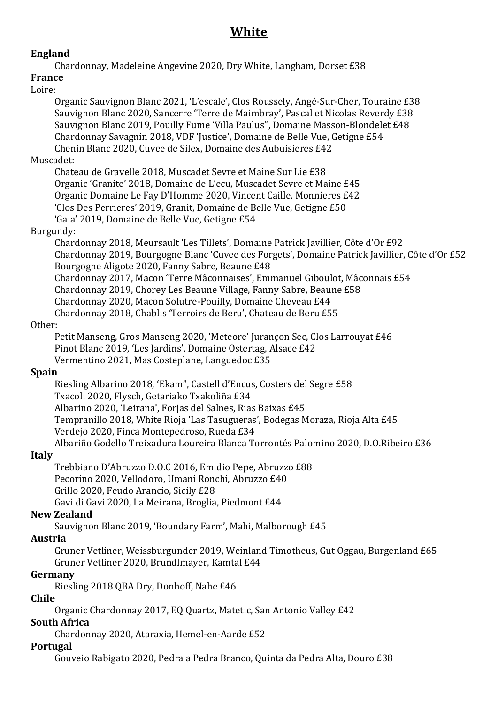# **White**

## **England**

Chardonnay, Madeleine Angevine 2020, Dry White, Langham, Dorset £38

## **France**

#### Loire:

Organic Sauvignon Blanc 2021, 'L'escale', Clos Roussely, Angé-Sur-Cher, Touraine £38 Sauvignon Blanc 2020, Sancerre 'Terre de Maimbray', Pascal et Nicolas Reverdy £38 Sauvignon Blanc 2019, Pouilly Fume 'Villa Paulus", Domaine Masson-Blondelet £48 Chardonnay Savagnin 2018, VDF 'Justice', Domaine de Belle Vue, Getigne £54 Chenin Blanc 2020, Cuvee de Silex, Domaine des Aubuisieres £42

#### Muscadet:

Chateau de Gravelle 2018, Muscadet Sevre et Maine Sur Lie £38 Organic 'Granite' 2018, Domaine de L'ecu, Muscadet Sevre et Maine £45 Organic Domaine Le Fay D'Homme 2020, Vincent Caille, Monnieres £42 'Clos Des Perrieres' 2019, Granit, Domaine de Belle Vue, Getigne £50 'Gaia' 2019, Domaine de Belle Vue, Getigne £54

#### Burgundy:

Chardonnay 2018, Meursault 'Les Tillets', Domaine Patrick Javillier, Côte d'Or £92 Chardonnay 2019, Bourgogne Blanc 'Cuvee des Forgets', Domaine Patrick Javillier, Côte d'Or £52 Bourgogne Aligote 2020, Fanny Sabre, Beaune £48 Chardonnay 2017, Macon 'Terre Mâconnaises', Emmanuel Giboulot, Mâconnais £54 Chardonnay 2019, Chorey Les Beaune Village, Fanny Sabre, Beaune £58 Chardonnay 2020, Macon Solutre-Pouilly, Domaine Cheveau £44 Chardonnay 2018, Chablis 'Terroirs de Beru', Chateau de Beru £55

#### Other:

Petit Manseng, Gros Manseng 2020, 'Meteore' Jurançon Sec, Clos Larrouyat £46 Pinot Blanc 2019, 'Les Jardins', Domaine Ostertag, Alsace £42 Vermentino 2021, Mas Costeplane, Languedoc £35

## **Spain**

Riesling Albarino 2018, 'Ekam", Castell d'Encus, Costers del Segre £58 Txacoli 2020, Flysch, Getariako Txakoliña £34 Albarino 2020, 'Leirana', Forjas del Salnes, Rias Baixas £45 Tempranillo 2018, White Rioja 'Las Tasugueras', Bodegas Moraza, Rioja Alta £45 Verdejo 2020, Finca Montepedroso, Rueda £34 Albariño Godello Treixadura Loureira Blanca Torrontés Palomino 2020, D.O.Ribeiro £36

## **Italy**

Trebbiano D'Abruzzo D.O.C 2016, Emidio Pepe, Abruzzo £88 Pecorino 2020, Vellodoro, Umani Ronchi, Abruzzo £40 Grillo 2020, Feudo Arancio, Sicily £28 Gavi di Gavi 2020, La Meirana, Broglia, Piedmont £44

#### **New Zealand**

Sauvignon Blanc 2019, 'Boundary Farm', Mahi, Malborough £45

## **Austria**

Gruner Vetliner, Weissburgunder 2019, Weinland Timotheus, Gut Oggau, Burgenland £65 Gruner Vetliner 2020, Brundlmayer, Kamtal £44

## **Germany**

Riesling 2018 QBA Dry, Donhoff, Nahe £46

#### **Chile**

Organic Chardonnay 2017, EQ Quartz, Matetic, San Antonio Valley £42

#### **South Africa**

Chardonnay 2020, Ataraxia, Hemel-en-Aarde £52

#### **Portugal**

Gouveio Rabigato 2020, Pedra a Pedra Branco, Quinta da Pedra Alta, Douro £38